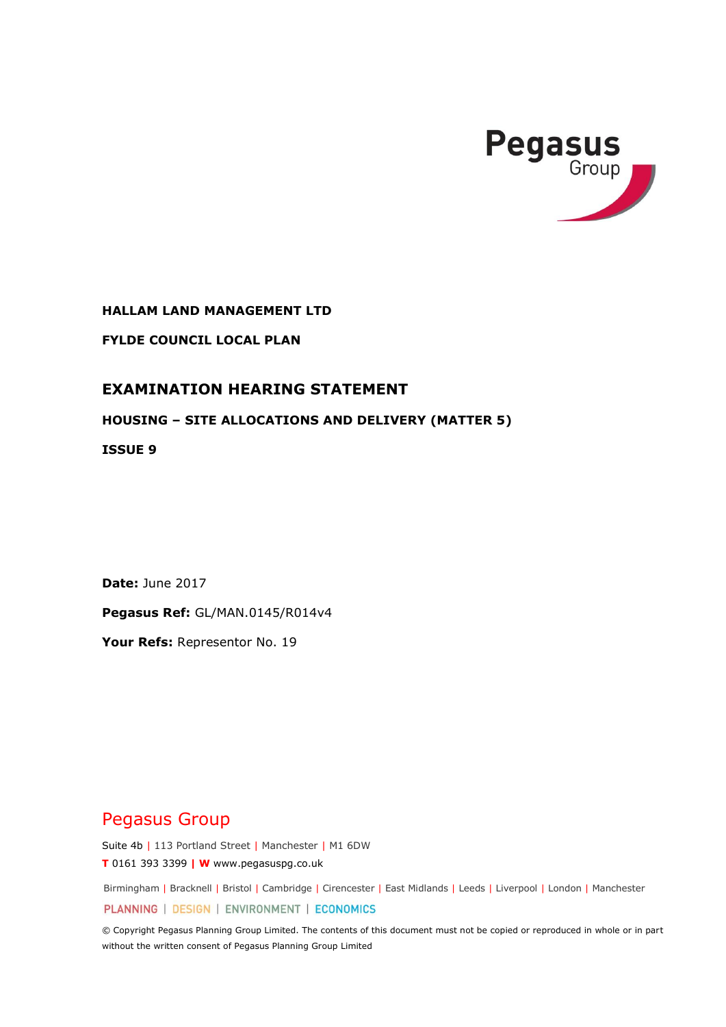

**HALLAM LAND MANAGEMENT LTD**

**FYLDE COUNCIL LOCAL PLAN**

## **EXAMINATION HEARING STATEMENT**

## **HOUSING – SITE ALLOCATIONS AND DELIVERY (MATTER 5)**

**ISSUE 9**

**Date:** June 2017

**Pegasus Ref:** GL/MAN.0145/R014v4

**Your Refs:** Representor No. 19

# Pegasus Group

Suite 4b | 113 Portland Street | Manchester | M1 6DW **T** 0161 393 3399 **| W** www.pegasuspg.co.uk

Birmingham | Bracknell | Bristol | Cambridge | Cirencester | East Midlands | Leeds | Liverpool | London | Manchester

PLANNING | DESIGN | ENVIRONMENT | ECONOMICS

© Copyright Pegasus Planning Group Limited. The contents of this document must not be copied or reproduced in whole or in part without the written consent of Pegasus Planning Group Limited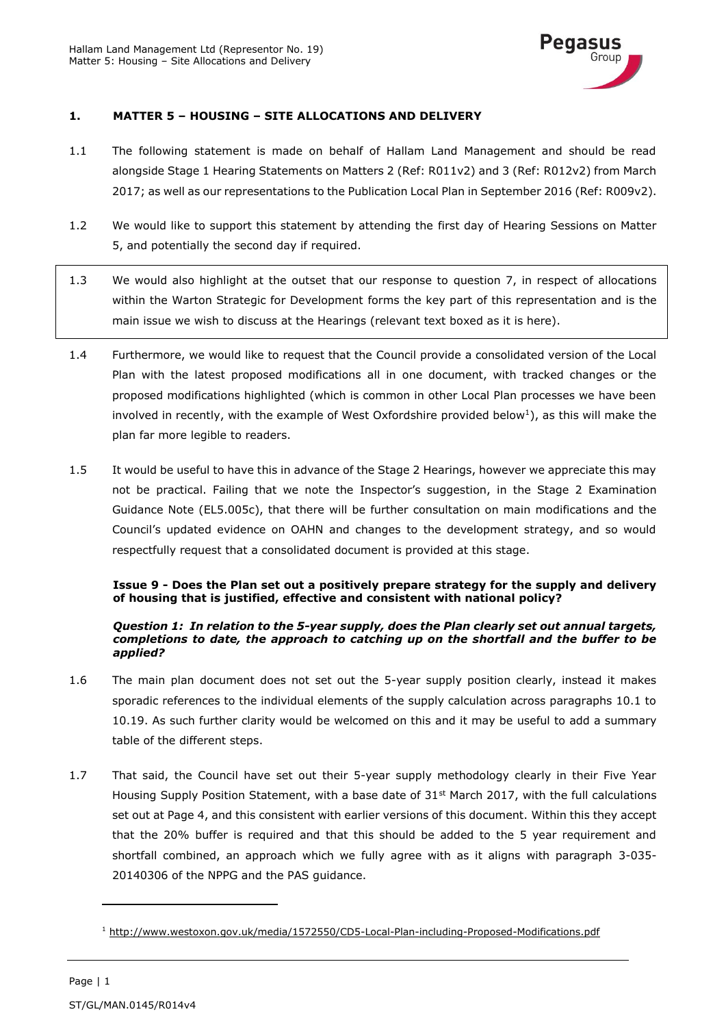

## **1. MATTER 5 – HOUSING – SITE ALLOCATIONS AND DELIVERY**

- 1.1 The following statement is made on behalf of Hallam Land Management and should be read alongside Stage 1 Hearing Statements on Matters 2 (Ref: R011v2) and 3 (Ref: R012v2) from March 2017; as well as our representations to the Publication Local Plan in September 2016 (Ref: R009v2).
- 1.2 We would like to support this statement by attending the first day of Hearing Sessions on Matter 5, and potentially the second day if required.
- 1.3 We would also highlight at the outset that our response to question 7, in respect of allocations within the Warton Strategic for Development forms the key part of this representation and is the main issue we wish to discuss at the Hearings (relevant text boxed as it is here).
- 1.4 Furthermore, we would like to request that the Council provide a consolidated version of the Local Plan with the latest proposed modifications all in one document, with tracked changes or the proposed modifications highlighted (which is common in other Local Plan processes we have been involved in recently, with the example of West Oxfordshire provided below<sup>1</sup>), as this will make the plan far more legible to readers.
- 1.5 It would be useful to have this in advance of the Stage 2 Hearings, however we appreciate this may not be practical. Failing that we note the Inspector's suggestion, in the Stage 2 Examination Guidance Note (EL5.005c), that there will be further consultation on main modifications and the Council's updated evidence on OAHN and changes to the development strategy, and so would respectfully request that a consolidated document is provided at this stage.

## **Issue 9 - Does the Plan set out a positively prepare strategy for the supply and delivery of housing that is justified, effective and consistent with national policy?**

#### *Question 1: In relation to the 5-year supply, does the Plan clearly set out annual targets, completions to date, the approach to catching up on the shortfall and the buffer to be applied?*

- 1.6 The main plan document does not set out the 5-year supply position clearly, instead it makes sporadic references to the individual elements of the supply calculation across paragraphs 10.1 to 10.19. As such further clarity would be welcomed on this and it may be useful to add a summary table of the different steps.
- 1.7 That said, the Council have set out their 5-year supply methodology clearly in their Five Year Housing Supply Position Statement, with a base date of 31<sup>st</sup> March 2017, with the full calculations set out at Page 4, and this consistent with earlier versions of this document. Within this they accept that the 20% buffer is required and that this should be added to the 5 year requirement and shortfall combined, an approach which we fully agree with as it aligns with paragraph 3-035- 20140306 of the NPPG and the PAS guidance.

<sup>1</sup> <http://www.westoxon.gov.uk/media/1572550/CD5-Local-Plan-including-Proposed-Modifications.pdf>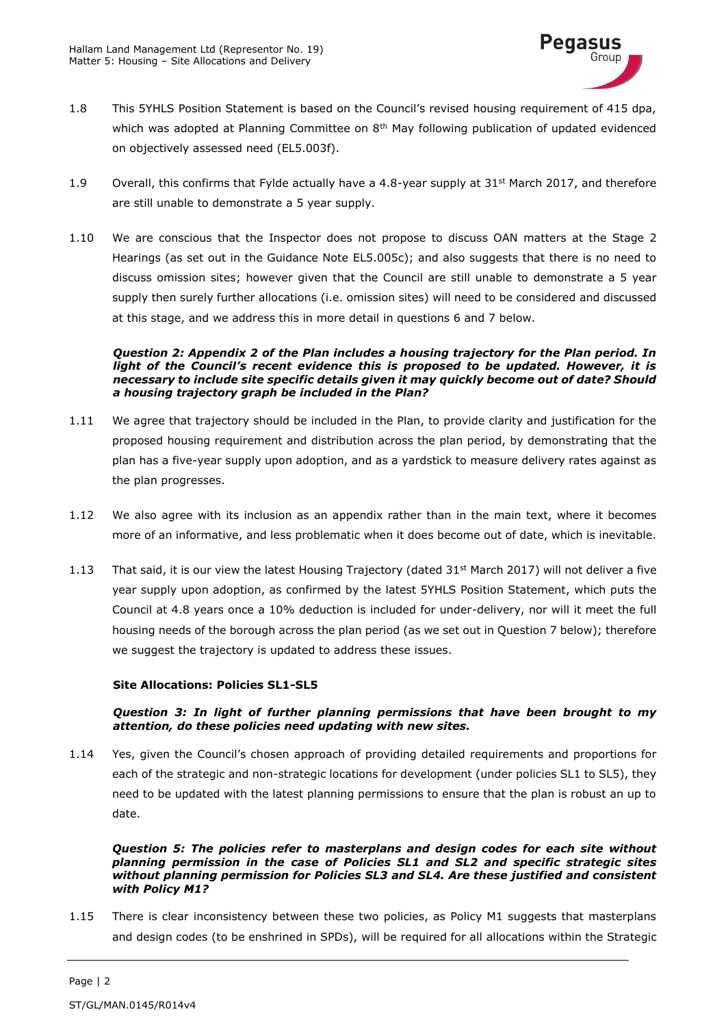

- 1.8 This 5YHLS Position Statement is based on the Council's revised housing requirement of 415 dpa, which was adopted at Planning Committee on 8<sup>th</sup> May following publication of updated evidenced on objectively assessed need (EL5.003f).
- 1.9 Overall, this confirms that Fylde actually have a 4.8-year supply at  $31<sup>st</sup>$  March 2017, and therefore are still unable to demonstrate a 5 year supply.
- 1.10 We are conscious that the Inspector does not propose to discuss OAN matters at the Stage 2 Hearings (as set out in the Guidance Note EL5.005c); and also suggests that there is no need to discuss omission sites; however given that the Council are still unable to demonstrate a 5 year supply then surely further allocations (i.e. omission sites) will need to be considered and discussed at this stage, and we address this in more detail in questions 6 and 7 below.

#### *Question 2: Appendix 2 of the Plan includes a housing trajectory for the Plan period. In light of the Council's recent evidence this is proposed to be updated. However, it is necessary to include site specific details given it may quickly become out of date? Should a housing trajectory graph be included in the Plan?*

- 1.11 We agree that trajectory should be included in the Plan, to provide clarity and justification for the proposed housing requirement and distribution across the plan period, by demonstrating that the plan has a five-year supply upon adoption, and as a yardstick to measure delivery rates against as the plan progresses.
- 1.12 We also agree with its inclusion as an appendix rather than in the main text, where it becomes more of an informative, and less problematic when it does become out of date, which is inevitable.
- 1.13 That said, it is our view the latest Housing Trajectory (dated 31<sup>st</sup> March 2017) will not deliver a five year supply upon adoption, as confirmed by the latest 5YHLS Position Statement, which puts the Council at 4.8 years once a 10% deduction is included for under-delivery, nor will it meet the full housing needs of the borough across the plan period (as we set out in Question 7 below); therefore we suggest the trajectory is updated to address these issues.

## **Site Allocations: Policies SL1-SL5**

## *Question 3: In light of further planning permissions that have been brought to my attention, do these policies need updating with new sites.*

1.14 Yes, given the Council's chosen approach of providing detailed requirements and proportions for each of the strategic and non-strategic locations for development (under policies SL1 to SL5), they need to be updated with the latest planning permissions to ensure that the plan is robust an up to date.

#### *Question 5: The policies refer to masterplans and design codes for each site without planning permission in the case of Policies SL1 and SL2 and specific strategic sites without planning permission for Policies SL3 and SL4. Are these justified and consistent with Policy M1?*

1.15 There is clear inconsistency between these two policies, as Policy M1 suggests that masterplans and design codes (to be enshrined in SPDs), will be required for all allocations within the Strategic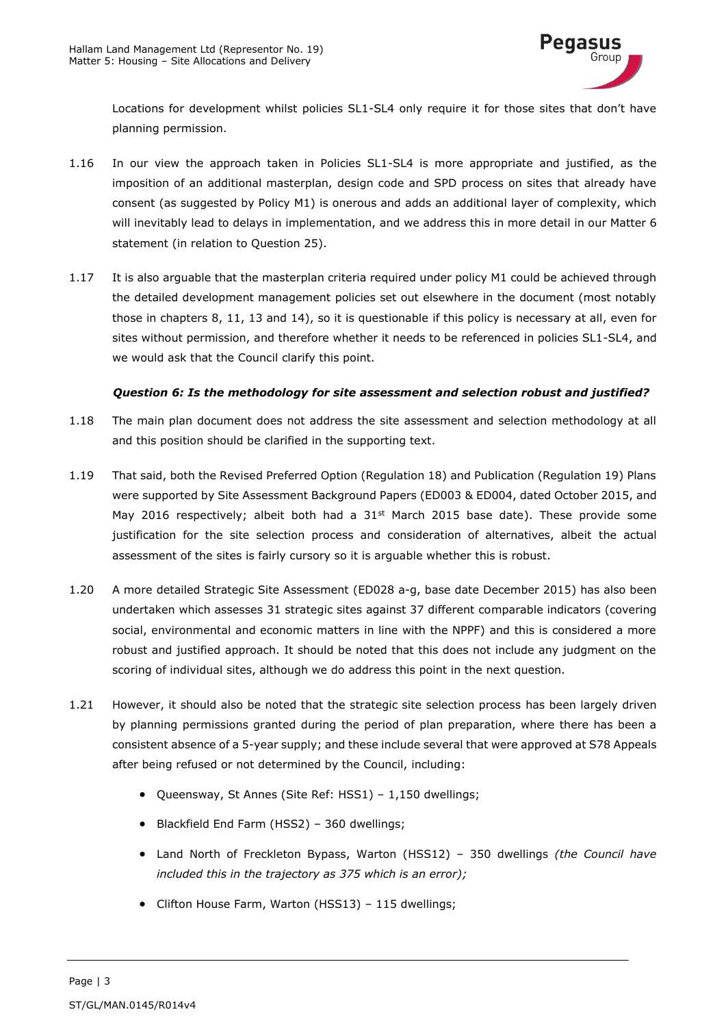

Locations for development whilst policies SL1-SL4 only require it for those sites that don't have planning permission.

- 1.16 In our view the approach taken in Policies SL1-SL4 is more appropriate and justified, as the imposition of an additional masterplan, design code and SPD process on sites that already have consent (as suggested by Policy M1) is onerous and adds an additional layer of complexity, which will inevitably lead to delays in implementation, and we address this in more detail in our Matter 6 statement (in relation to Question 25).
- 1.17 It is also arguable that the masterplan criteria required under policy M1 could be achieved through the detailed development management policies set out elsewhere in the document (most notably those in chapters 8, 11, 13 and 14), so it is questionable if this policy is necessary at all, even for sites without permission, and therefore whether it needs to be referenced in policies SL1-SL4, and we would ask that the Council clarify this point.

## *Question 6: Is the methodology for site assessment and selection robust and justified?*

- 1.18 The main plan document does not address the site assessment and selection methodology at all and this position should be clarified in the supporting text.
- 1.19 That said, both the Revised Preferred Option (Regulation 18) and Publication (Regulation 19) Plans were supported by Site Assessment Background Papers (ED003 & ED004, dated October 2015, and May 2016 respectively; albeit both had a  $31<sup>st</sup>$  March 2015 base date). These provide some justification for the site selection process and consideration of alternatives, albeit the actual assessment of the sites is fairly cursory so it is arguable whether this is robust.
- 1.20 A more detailed Strategic Site Assessment (ED028 a-g, base date December 2015) has also been undertaken which assesses 31 strategic sites against 37 different comparable indicators (covering social, environmental and economic matters in line with the NPPF) and this is considered a more robust and justified approach. It should be noted that this does not include any judgment on the scoring of individual sites, although we do address this point in the next question.
- 1.21 However, it should also be noted that the strategic site selection process has been largely driven by planning permissions granted during the period of plan preparation, where there has been a consistent absence of a 5-year supply; and these include several that were approved at S78 Appeals after being refused or not determined by the Council, including:
	- Queensway, St Annes (Site Ref: HSS1) 1,150 dwellings;
	- Blackfield End Farm (HSS2) 360 dwellings;
	- Land North of Freckleton Bypass, Warton (HSS12) 350 dwellings *(the Council have included this in the trajectory as 375 which is an error);*
	- Clifton House Farm, Warton (HSS13) 115 dwellings;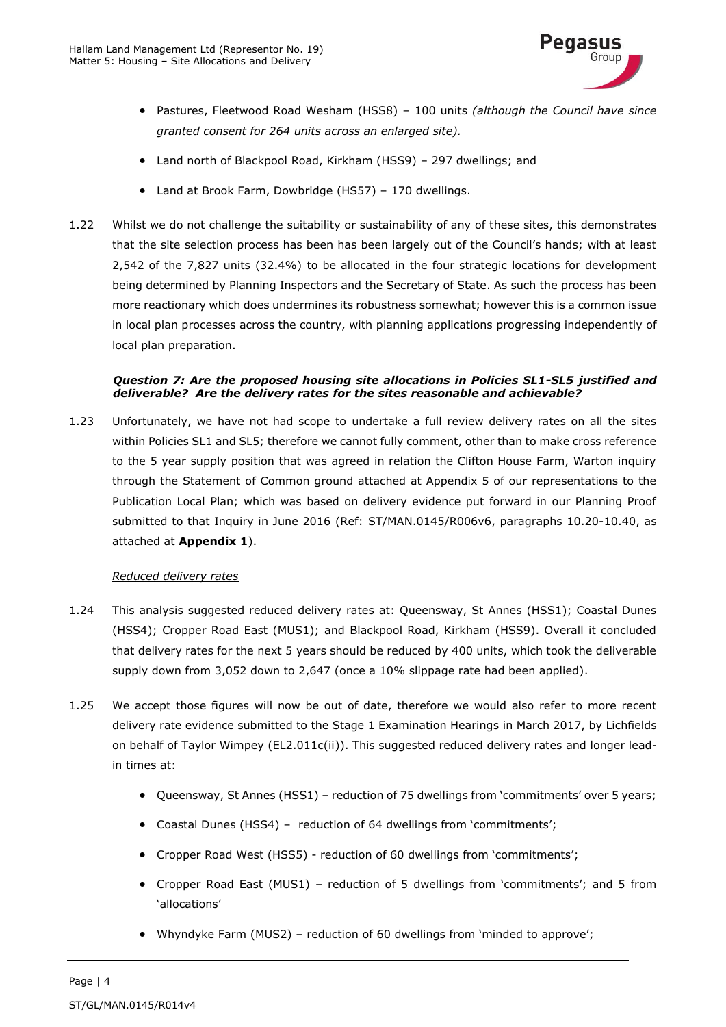

- Pastures, Fleetwood Road Wesham (HSS8) 100 units *(although the Council have since granted consent for 264 units across an enlarged site).*
- Land north of Blackpool Road, Kirkham (HSS9) 297 dwellings; and
- Land at Brook Farm, Dowbridge (HS57) 170 dwellings.
- 1.22 Whilst we do not challenge the suitability or sustainability of any of these sites, this demonstrates that the site selection process has been has been largely out of the Council's hands; with at least 2,542 of the 7,827 units (32.4%) to be allocated in the four strategic locations for development being determined by Planning Inspectors and the Secretary of State. As such the process has been more reactionary which does undermines its robustness somewhat; however this is a common issue in local plan processes across the country, with planning applications progressing independently of local plan preparation.

#### *Question 7: Are the proposed housing site allocations in Policies SL1-SL5 justified and deliverable? Are the delivery rates for the sites reasonable and achievable?*

1.23 Unfortunately, we have not had scope to undertake a full review delivery rates on all the sites within Policies SL1 and SL5; therefore we cannot fully comment, other than to make cross reference to the 5 year supply position that was agreed in relation the Clifton House Farm, Warton inquiry through the Statement of Common ground attached at Appendix 5 of our representations to the Publication Local Plan; which was based on delivery evidence put forward in our Planning Proof submitted to that Inquiry in June 2016 (Ref: ST/MAN.0145/R006v6, paragraphs 10.20-10.40, as attached at **Appendix 1**).

## *Reduced delivery rates*

- 1.24 This analysis suggested reduced delivery rates at: Queensway, St Annes (HSS1); Coastal Dunes (HSS4); Cropper Road East (MUS1); and Blackpool Road, Kirkham (HSS9). Overall it concluded that delivery rates for the next 5 years should be reduced by 400 units, which took the deliverable supply down from 3,052 down to 2,647 (once a 10% slippage rate had been applied).
- 1.25 We accept those figures will now be out of date, therefore we would also refer to more recent delivery rate evidence submitted to the Stage 1 Examination Hearings in March 2017, by Lichfields on behalf of Taylor Wimpey (EL2.011c(ii)). This suggested reduced delivery rates and longer leadin times at:
	- Queensway, St Annes (HSS1) reduction of 75 dwellings from 'commitments' over 5 years;
	- Coastal Dunes (HSS4) reduction of 64 dwellings from 'commitments';
	- Cropper Road West (HSS5) reduction of 60 dwellings from 'commitments';
	- Cropper Road East (MUS1) reduction of 5 dwellings from 'commitments'; and 5 from 'allocations'
	- Whyndyke Farm (MUS2) reduction of 60 dwellings from 'minded to approve';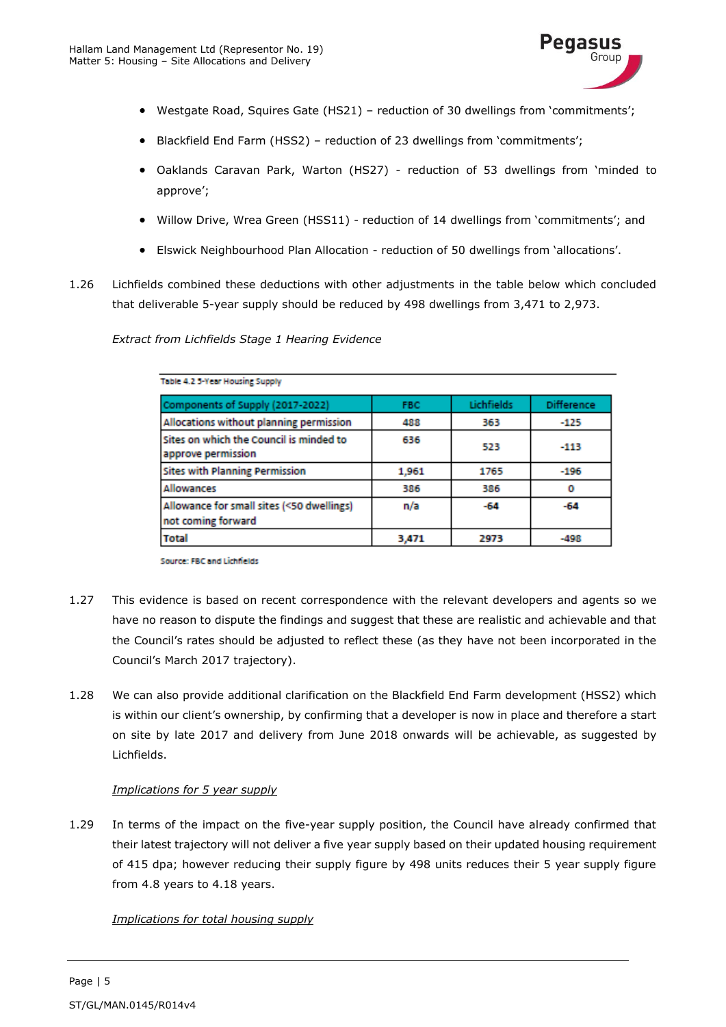

- Westgate Road, Squires Gate (HS21) reduction of 30 dwellings from 'commitments';
- Blackfield End Farm (HSS2) reduction of 23 dwellings from 'commitments';
- Oaklands Caravan Park, Warton (HS27) reduction of 53 dwellings from 'minded to approve';
- Willow Drive, Wrea Green (HSS11) reduction of 14 dwellings from 'commitments'; and
- Elswick Neighbourhood Plan Allocation reduction of 50 dwellings from 'allocations'.
- 1.26 Lichfields combined these deductions with other adjustments in the table below which concluded that deliverable 5-year supply should be reduced by 498 dwellings from 3,471 to 2,973.

*Extract from Lichfields Stage 1 Hearing Evidence*

| Table 4.2 5-Year Housing Supply                                 |       |            |                   |
|-----------------------------------------------------------------|-------|------------|-------------------|
| Components of Supply (2017-2022)                                | FBC.  | Lichfields | <b>Difference</b> |
| Allocations without planning permission                         | 488   | 363        | $-125$            |
| Sites on which the Council is minded to<br>approve permission   | 636   | 523        | $-113$            |
| <b>Sites with Planning Permission</b>                           | 1,961 | 1765       | $-196$            |
| Allowances                                                      | 386   | 386        | о                 |
| Allowance for small sites (<50 dwellings)<br>not coming forward | n/a   | $-64$      | $-64$             |
| <b>Total</b>                                                    | 3,471 | 2973       | $-498$            |

Source: FBC and Lichfields

- 1.27 This evidence is based on recent correspondence with the relevant developers and agents so we have no reason to dispute the findings and suggest that these are realistic and achievable and that the Council's rates should be adjusted to reflect these (as they have not been incorporated in the Council's March 2017 trajectory).
- 1.28 We can also provide additional clarification on the Blackfield End Farm development (HSS2) which is within our client's ownership, by confirming that a developer is now in place and therefore a start on site by late 2017 and delivery from June 2018 onwards will be achievable, as suggested by Lichfields.

## *Implications for 5 year supply*

1.29 In terms of the impact on the five-year supply position, the Council have already confirmed that their latest trajectory will not deliver a five year supply based on their updated housing requirement of 415 dpa; however reducing their supply figure by 498 units reduces their 5 year supply figure from 4.8 years to 4.18 years.

## *Implications for total housing supply*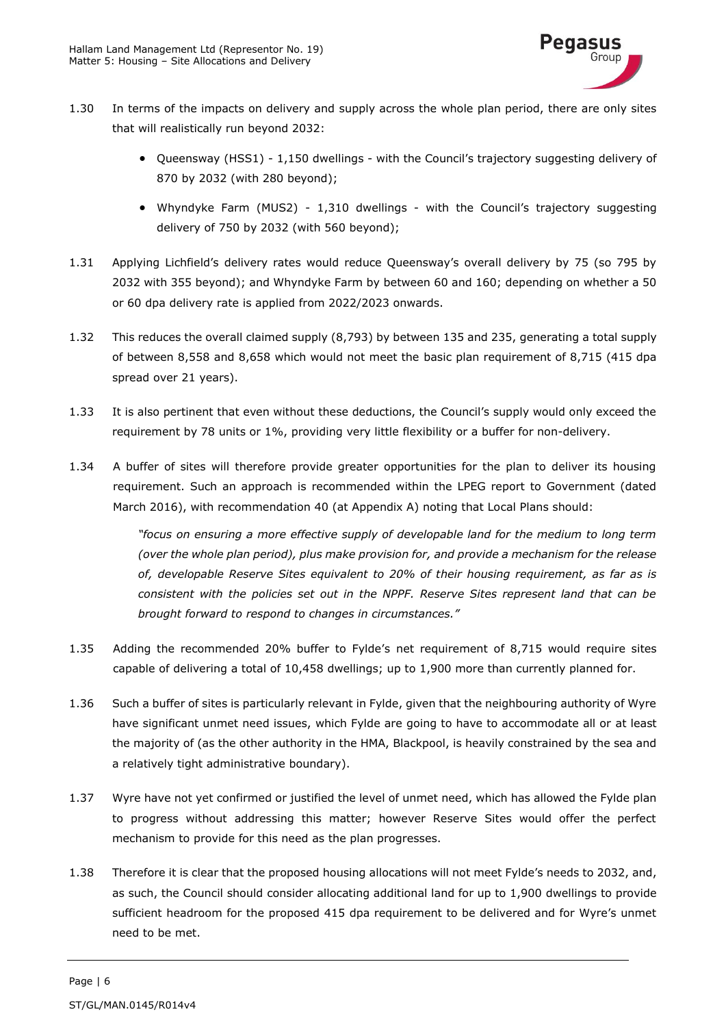

- 1.30 In terms of the impacts on delivery and supply across the whole plan period, there are only sites that will realistically run beyond 2032:
	- Queensway (HSS1) 1,150 dwellings with the Council's trajectory suggesting delivery of 870 by 2032 (with 280 beyond);
	- Whyndyke Farm (MUS2) 1,310 dwellings with the Council's trajectory suggesting delivery of 750 by 2032 (with 560 beyond);
- 1.31 Applying Lichfield's delivery rates would reduce Queensway's overall delivery by 75 (so 795 by 2032 with 355 beyond); and Whyndyke Farm by between 60 and 160; depending on whether a 50 or 60 dpa delivery rate is applied from 2022/2023 onwards.
- 1.32 This reduces the overall claimed supply (8,793) by between 135 and 235, generating a total supply of between 8,558 and 8,658 which would not meet the basic plan requirement of 8,715 (415 dpa spread over 21 years).
- 1.33 It is also pertinent that even without these deductions, the Council's supply would only exceed the requirement by 78 units or 1%, providing very little flexibility or a buffer for non-delivery.
- 1.34 A buffer of sites will therefore provide greater opportunities for the plan to deliver its housing requirement. Such an approach is recommended within the LPEG report to Government (dated March 2016), with recommendation 40 (at Appendix A) noting that Local Plans should:

*"focus on ensuring a more effective supply of developable land for the medium to long term (over the whole plan period), plus make provision for, and provide a mechanism for the release of, developable Reserve Sites equivalent to 20% of their housing requirement, as far as is consistent with the policies set out in the NPPF. Reserve Sites represent land that can be brought forward to respond to changes in circumstances."*

- 1.35 Adding the recommended 20% buffer to Fylde's net requirement of 8,715 would require sites capable of delivering a total of 10,458 dwellings; up to 1,900 more than currently planned for.
- 1.36 Such a buffer of sites is particularly relevant in Fylde, given that the neighbouring authority of Wyre have significant unmet need issues, which Fylde are going to have to accommodate all or at least the majority of (as the other authority in the HMA, Blackpool, is heavily constrained by the sea and a relatively tight administrative boundary).
- 1.37 Wyre have not yet confirmed or justified the level of unmet need, which has allowed the Fylde plan to progress without addressing this matter; however Reserve Sites would offer the perfect mechanism to provide for this need as the plan progresses.
- 1.38 Therefore it is clear that the proposed housing allocations will not meet Fylde's needs to 2032, and, as such, the Council should consider allocating additional land for up to 1,900 dwellings to provide sufficient headroom for the proposed 415 dpa requirement to be delivered and for Wyre's unmet need to be met.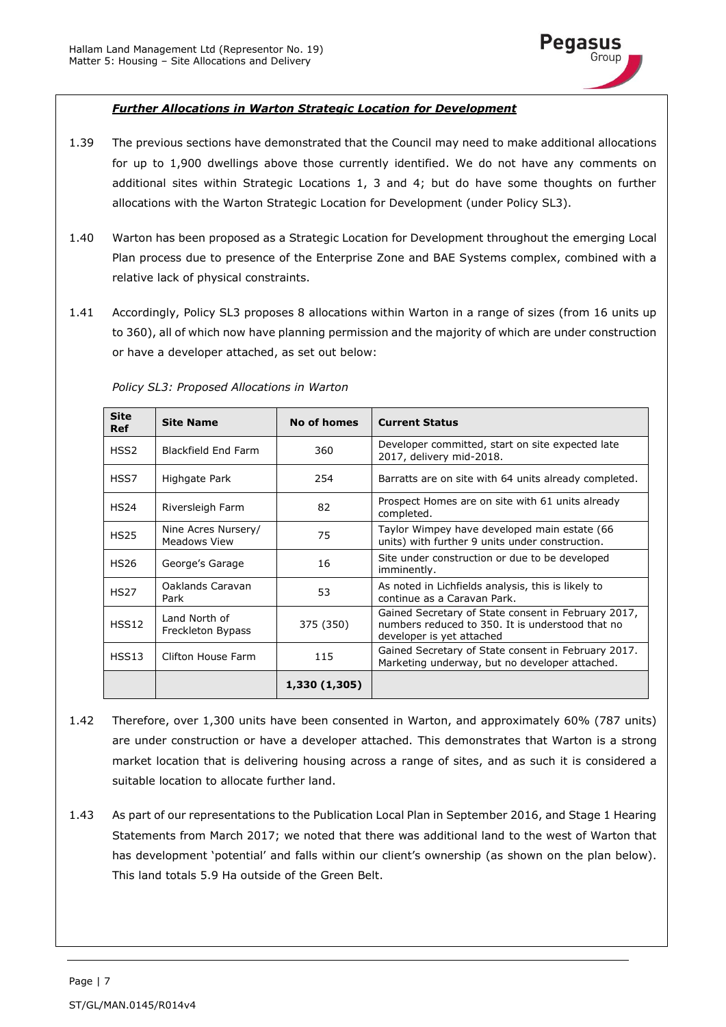

## *Further Allocations in Warton Strategic Location for Development*

- 1.39 The previous sections have demonstrated that the Council may need to make additional allocations for up to 1,900 dwellings above those currently identified. We do not have any comments on additional sites within Strategic Locations 1, 3 and 4; but do have some thoughts on further allocations with the Warton Strategic Location for Development (under Policy SL3).
- 1.40 Warton has been proposed as a Strategic Location for Development throughout the emerging Local Plan process due to presence of the Enterprise Zone and BAE Systems complex, combined with a relative lack of physical constraints.
- 1.41 Accordingly, Policy SL3 proposes 8 allocations within Warton in a range of sizes (from 16 units up to 360), all of which now have planning permission and the majority of which are under construction or have a developer attached, as set out below:

| <b>Site</b><br>Ref | <b>Site Name</b>                           | No of homes   | <b>Current Status</b>                                                                                                                |
|--------------------|--------------------------------------------|---------------|--------------------------------------------------------------------------------------------------------------------------------------|
| HSS2               | <b>Blackfield End Farm</b>                 | 360           | Developer committed, start on site expected late<br>2017, delivery mid-2018.                                                         |
| HSS7               | Highgate Park                              | 254           | Barratts are on site with 64 units already completed.                                                                                |
| <b>HS24</b>        | Riversleigh Farm                           | 82            | Prospect Homes are on site with 61 units already<br>completed.                                                                       |
| <b>HS25</b>        | Nine Acres Nursery/<br><b>Meadows View</b> | 75            | Taylor Wimpey have developed main estate (66<br>units) with further 9 units under construction.                                      |
| <b>HS26</b>        | George's Garage                            | 16            | Site under construction or due to be developed<br>imminently.                                                                        |
| <b>HS27</b>        | Oaklands Caravan<br>Park                   | 53            | As noted in Lichfields analysis, this is likely to<br>continue as a Caravan Park.                                                    |
| HSS12              | Land North of<br>Freckleton Bypass         | 375 (350)     | Gained Secretary of State consent in February 2017,<br>numbers reduced to 350. It is understood that no<br>developer is yet attached |
| HSS13              | Clifton House Farm                         | 115           | Gained Secretary of State consent in February 2017.<br>Marketing underway, but no developer attached.                                |
|                    |                                            | 1,330 (1,305) |                                                                                                                                      |

*Policy SL3: Proposed Allocations in Warton*

- 1.42 Therefore, over 1,300 units have been consented in Warton, and approximately 60% (787 units) are under construction or have a developer attached. This demonstrates that Warton is a strong market location that is delivering housing across a range of sites, and as such it is considered a suitable location to allocate further land.
- 1.43 As part of our representations to the Publication Local Plan in September 2016, and Stage 1 Hearing Statements from March 2017; we noted that there was additional land to the west of Warton that has development 'potential' and falls within our client's ownership (as shown on the plan below). This land totals 5.9 Ha outside of the Green Belt.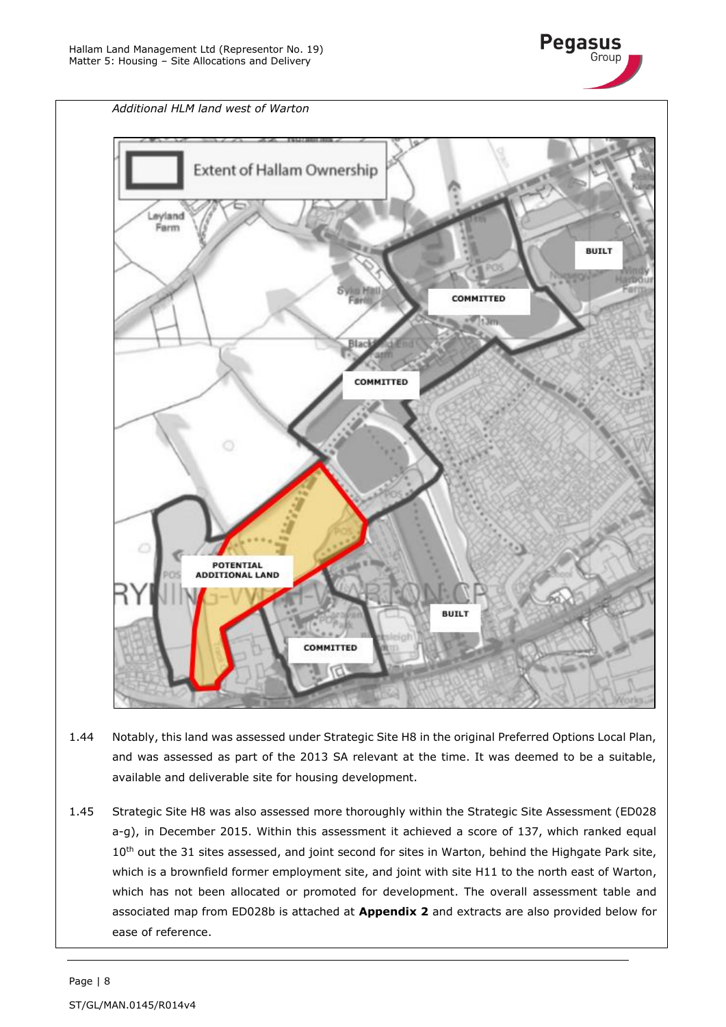



- 1.44 Notably, this land was assessed under Strategic Site H8 in the original Preferred Options Local Plan, and was assessed as part of the 2013 SA relevant at the time. It was deemed to be a suitable, available and deliverable site for housing development.
- 1.45 Strategic Site H8 was also assessed more thoroughly within the Strategic Site Assessment (ED028 a-g), in December 2015. Within this assessment it achieved a score of 137, which ranked equal 10<sup>th</sup> out the 31 sites assessed, and joint second for sites in Warton, behind the Highgate Park site, which is a brownfield former employment site, and joint with site H11 to the north east of Warton, which has not been allocated or promoted for development. The overall assessment table and associated map from ED028b is attached at **Appendix 2** and extracts are also provided below for ease of reference.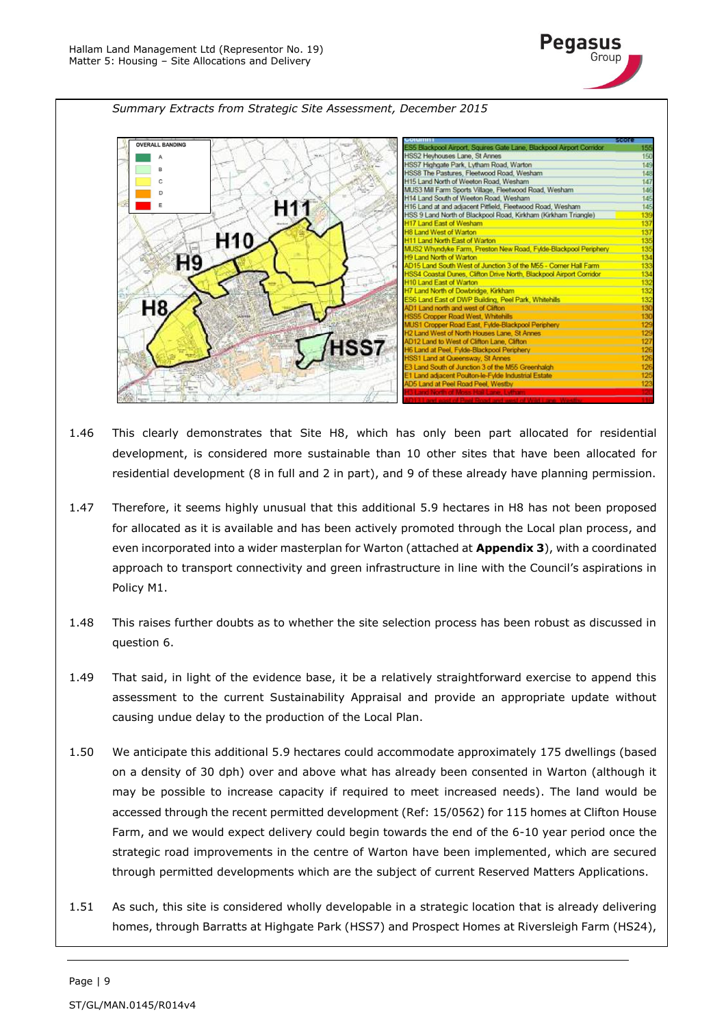

*Summary Extracts from Strategic Site Assessment, December 2015*



- 1.46 This clearly demonstrates that Site H8, which has only been part allocated for residential development, is considered more sustainable than 10 other sites that have been allocated for residential development (8 in full and 2 in part), and 9 of these already have planning permission.
- 1.47 Therefore, it seems highly unusual that this additional 5.9 hectares in H8 has not been proposed for allocated as it is available and has been actively promoted through the Local plan process, and even incorporated into a wider masterplan for Warton (attached at **Appendix 3**), with a coordinated approach to transport connectivity and green infrastructure in line with the Council's aspirations in Policy M1.
- 1.48 This raises further doubts as to whether the site selection process has been robust as discussed in question 6.
- 1.49 That said, in light of the evidence base, it be a relatively straightforward exercise to append this assessment to the current Sustainability Appraisal and provide an appropriate update without causing undue delay to the production of the Local Plan.
- 1.50 We anticipate this additional 5.9 hectares could accommodate approximately 175 dwellings (based on a density of 30 dph) over and above what has already been consented in Warton (although it may be possible to increase capacity if required to meet increased needs). The land would be accessed through the recent permitted development (Ref: 15/0562) for 115 homes at Clifton House Farm, and we would expect delivery could begin towards the end of the 6-10 year period once the strategic road improvements in the centre of Warton have been implemented, which are secured through permitted developments which are the subject of current Reserved Matters Applications.
- 1.51 As such, this site is considered wholly developable in a strategic location that is already delivering homes, through Barratts at Highgate Park (HSS7) and Prospect Homes at Riversleigh Farm (HS24),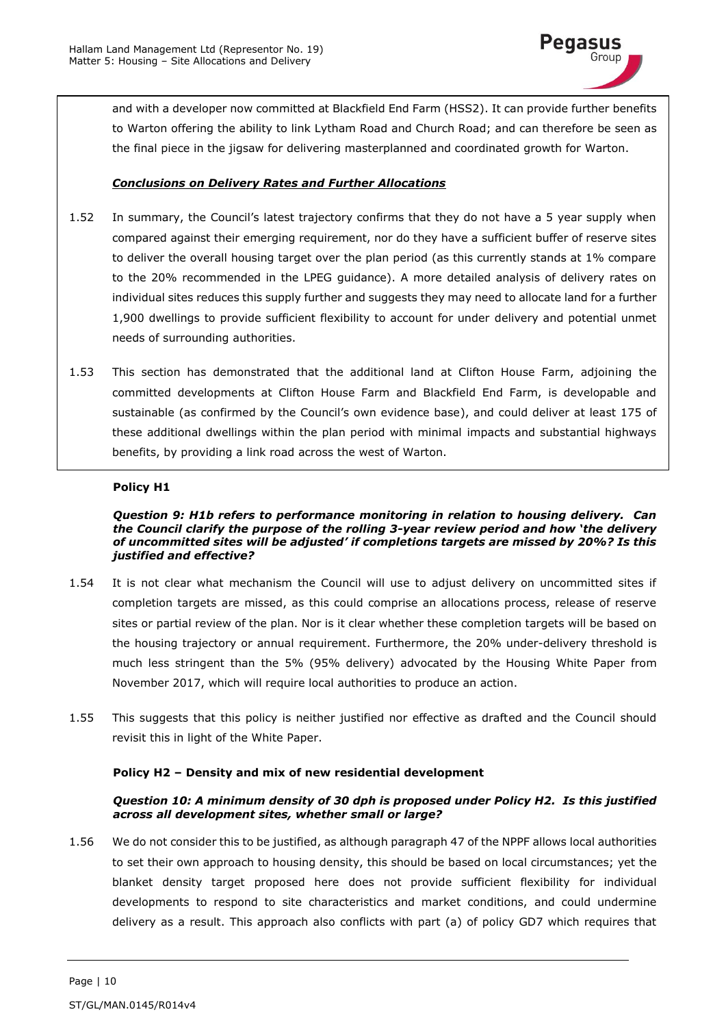

and with a developer now committed at Blackfield End Farm (HSS2). It can provide further benefits to Warton offering the ability to link Lytham Road and Church Road; and can therefore be seen as the final piece in the jigsaw for delivering masterplanned and coordinated growth for Warton.

## *Conclusions on Delivery Rates and Further Allocations*

- 1.52 In summary, the Council's latest trajectory confirms that they do not have a 5 year supply when compared against their emerging requirement, nor do they have a sufficient buffer of reserve sites to deliver the overall housing target over the plan period (as this currently stands at 1% compare to the 20% recommended in the LPEG guidance). A more detailed analysis of delivery rates on individual sites reduces this supply further and suggests they may need to allocate land for a further 1,900 dwellings to provide sufficient flexibility to account for under delivery and potential unmet needs of surrounding authorities.
- 1.53 This section has demonstrated that the additional land at Clifton House Farm, adjoining the committed developments at Clifton House Farm and Blackfield End Farm, is developable and sustainable (as confirmed by the Council's own evidence base), and could deliver at least 175 of these additional dwellings within the plan period with minimal impacts and substantial highways benefits, by providing a link road across the west of Warton.

## **Policy H1**

#### *Question 9: H1b refers to performance monitoring in relation to housing delivery. Can the Council clarify the purpose of the rolling 3-year review period and how 'the delivery of uncommitted sites will be adjusted' if completions targets are missed by 20%? Is this justified and effective?*

- 1.54 It is not clear what mechanism the Council will use to adjust delivery on uncommitted sites if completion targets are missed, as this could comprise an allocations process, release of reserve sites or partial review of the plan. Nor is it clear whether these completion targets will be based on the housing trajectory or annual requirement. Furthermore, the 20% under-delivery threshold is much less stringent than the 5% (95% delivery) advocated by the Housing White Paper from November 2017, which will require local authorities to produce an action.
- 1.55 This suggests that this policy is neither justified nor effective as drafted and the Council should revisit this in light of the White Paper.

## **Policy H2 – Density and mix of new residential development**

## *Question 10: A minimum density of 30 dph is proposed under Policy H2. Is this justified across all development sites, whether small or large?*

1.56 We do not consider this to be justified, as although paragraph 47 of the NPPF allows local authorities to set their own approach to housing density, this should be based on local circumstances; yet the blanket density target proposed here does not provide sufficient flexibility for individual developments to respond to site characteristics and market conditions, and could undermine delivery as a result. This approach also conflicts with part (a) of policy GD7 which requires that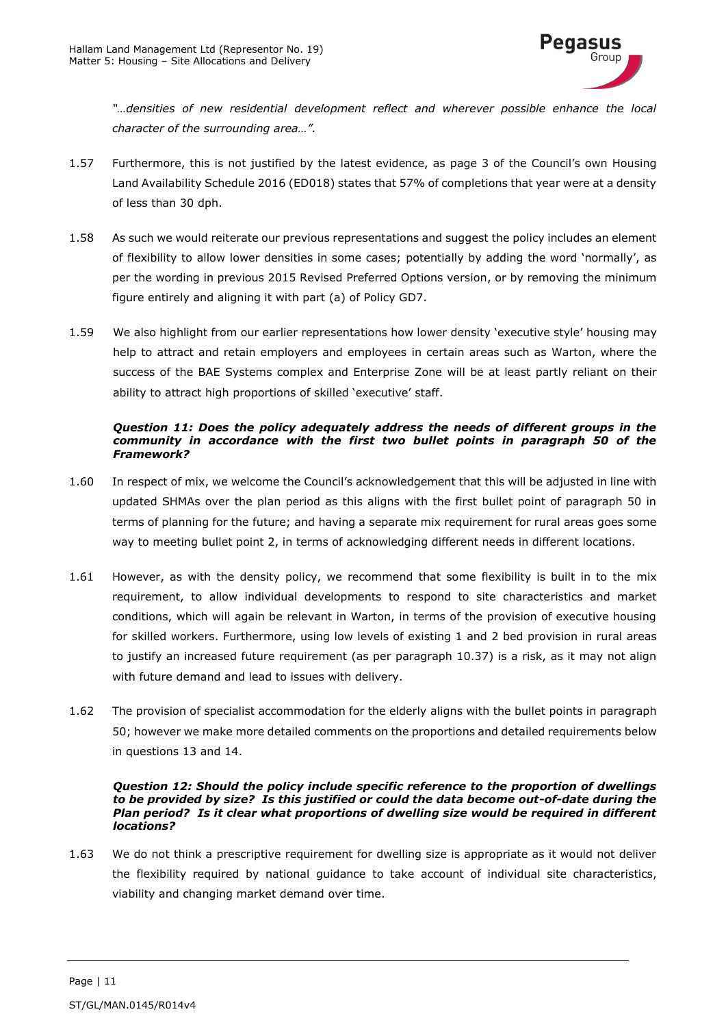

*"…densities of new residential development reflect and wherever possible enhance the local character of the surrounding area…".*

- 1.57 Furthermore, this is not justified by the latest evidence, as page 3 of the Council's own Housing Land Availability Schedule 2016 (ED018) states that 57% of completions that year were at a density of less than 30 dph.
- 1.58 As such we would reiterate our previous representations and suggest the policy includes an element of flexibility to allow lower densities in some cases; potentially by adding the word 'normally', as per the wording in previous 2015 Revised Preferred Options version, or by removing the minimum figure entirely and aligning it with part (a) of Policy GD7.
- 1.59 We also highlight from our earlier representations how lower density 'executive style' housing may help to attract and retain employers and employees in certain areas such as Warton, where the success of the BAE Systems complex and Enterprise Zone will be at least partly reliant on their ability to attract high proportions of skilled 'executive' staff.

#### *Question 11: Does the policy adequately address the needs of different groups in the community in accordance with the first two bullet points in paragraph 50 of the Framework?*

- 1.60 In respect of mix, we welcome the Council's acknowledgement that this will be adjusted in line with updated SHMAs over the plan period as this aligns with the first bullet point of paragraph 50 in terms of planning for the future; and having a separate mix requirement for rural areas goes some way to meeting bullet point 2, in terms of acknowledging different needs in different locations.
- 1.61 However, as with the density policy, we recommend that some flexibility is built in to the mix requirement, to allow individual developments to respond to site characteristics and market conditions, which will again be relevant in Warton, in terms of the provision of executive housing for skilled workers. Furthermore, using low levels of existing 1 and 2 bed provision in rural areas to justify an increased future requirement (as per paragraph 10.37) is a risk, as it may not align with future demand and lead to issues with delivery.
- 1.62 The provision of specialist accommodation for the elderly aligns with the bullet points in paragraph 50; however we make more detailed comments on the proportions and detailed requirements below in questions 13 and 14.

#### *Question 12: Should the policy include specific reference to the proportion of dwellings to be provided by size? Is this justified or could the data become out-of-date during the Plan period? Is it clear what proportions of dwelling size would be required in different locations?*

1.63 We do not think a prescriptive requirement for dwelling size is appropriate as it would not deliver the flexibility required by national guidance to take account of individual site characteristics, viability and changing market demand over time.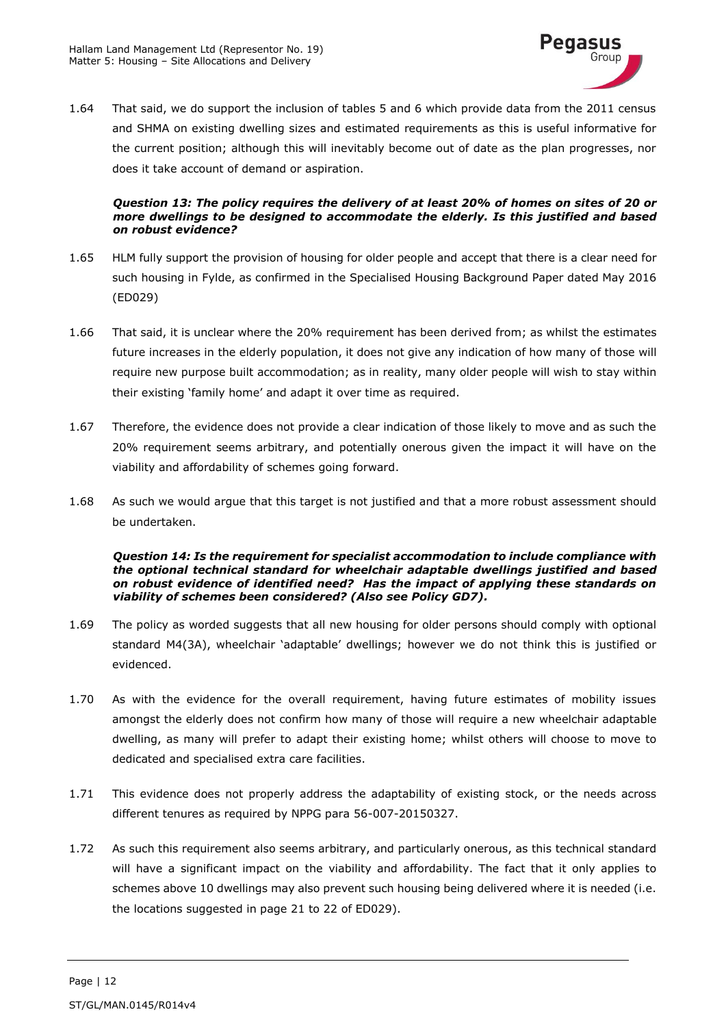

1.64 That said, we do support the inclusion of tables 5 and 6 which provide data from the 2011 census and SHMA on existing dwelling sizes and estimated requirements as this is useful informative for the current position; although this will inevitably become out of date as the plan progresses, nor does it take account of demand or aspiration.

#### *Question 13: The policy requires the delivery of at least 20% of homes on sites of 20 or more dwellings to be designed to accommodate the elderly. Is this justified and based on robust evidence?*

- 1.65 HLM fully support the provision of housing for older people and accept that there is a clear need for such housing in Fylde, as confirmed in the Specialised Housing Background Paper dated May 2016 (ED029)
- 1.66 That said, it is unclear where the 20% requirement has been derived from; as whilst the estimates future increases in the elderly population, it does not give any indication of how many of those will require new purpose built accommodation; as in reality, many older people will wish to stay within their existing 'family home' and adapt it over time as required.
- 1.67 Therefore, the evidence does not provide a clear indication of those likely to move and as such the 20% requirement seems arbitrary, and potentially onerous given the impact it will have on the viability and affordability of schemes going forward.
- 1.68 As such we would argue that this target is not justified and that a more robust assessment should be undertaken.

#### *Question 14: Is the requirement for specialist accommodation to include compliance with the optional technical standard for wheelchair adaptable dwellings justified and based on robust evidence of identified need? Has the impact of applying these standards on viability of schemes been considered? (Also see Policy GD7).*

- 1.69 The policy as worded suggests that all new housing for older persons should comply with optional standard M4(3A), wheelchair 'adaptable' dwellings; however we do not think this is justified or evidenced.
- 1.70 As with the evidence for the overall requirement, having future estimates of mobility issues amongst the elderly does not confirm how many of those will require a new wheelchair adaptable dwelling, as many will prefer to adapt their existing home; whilst others will choose to move to dedicated and specialised extra care facilities.
- 1.71 This evidence does not properly address the adaptability of existing stock, or the needs across different tenures as required by NPPG para 56-007-20150327.
- 1.72 As such this requirement also seems arbitrary, and particularly onerous, as this technical standard will have a significant impact on the viability and affordability. The fact that it only applies to schemes above 10 dwellings may also prevent such housing being delivered where it is needed (i.e. the locations suggested in page 21 to 22 of ED029).